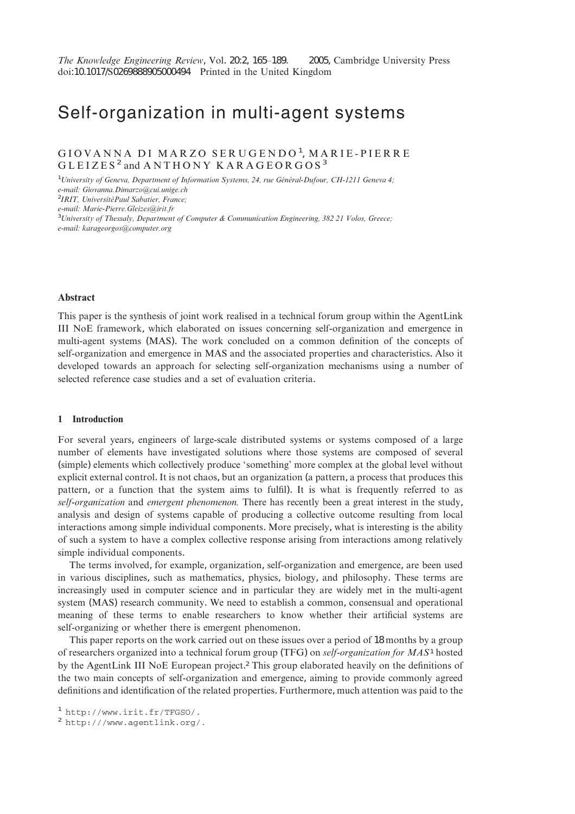# Self-organization in multi-agent systems

# GIOVANNA DI MARZO SERUGENDO<sup>1</sup>, MARIE-PIERRE  $GLEIZES<sup>2</sup>$  and A N T H O N Y K A R A G E O R G O S<sup>3</sup>

1 *University of Geneva, Department of Information Systems, 24, rue Général-Dufour, CH-1211 Geneva 4;*

*e-mail: Giovanna.Dimarzo@cui.unige.ch*

2 *IRIT, UniversitéPaul Sabatier, France;*

*e-mail: Marie-Pierre.Gleizes@irit.fr*

3 *University of Thessaly, Department of Computer & Communication Engineering, 382 21 Volos, Greece; e-mail: karageorgos@computer.org*

### **Abstract**

This paper is the synthesis of joint work realised in a technical forum group within the AgentLink III NoE framework, which elaborated on issues concerning self-organization and emergence in multi-agent systems (MAS). The work concluded on a common definition of the concepts of self-organization and emergence in MAS and the associated properties and characteristics. Also it developed towards an approach for selecting self-organization mechanisms using a number of selected reference case studies and a set of evaluation criteria.

### **1 Introduction**

For several years, engineers of large-scale distributed systems or systems composed of a large number of elements have investigated solutions where those systems are composed of several (simple) elements which collectively produce 'something' more complex at the global level without explicit external control. It is not chaos, but an organization (a pattern, a process that produces this pattern, or a function that the system aims to fulfil). It is what is frequently referred to as *self-organization* and *emergent phenomenon.* There has recently been a great interest in the study, analysis and design of systems capable of producing a collective outcome resulting from local interactions among simple individual components. More precisely, what is interesting is the ability of such a system to have a complex collective response arising from interactions among relatively simple individual components.

The terms involved, for example, organization, self-organization and emergence, are been used in various disciplines, such as mathematics, physics, biology, and philosophy. These terms are increasingly used in computer science and in particular they are widely met in the multi-agent system (MAS) research community. We need to establish a common, consensual and operational meaning of these terms to enable researchers to know whether their artificial systems are self-organizing or whether there is emergent phenomenon.

This paper reports on the work carried out on these issues over a period of 18 months by a group of researchers organized into a technical forum group (TFG) on *self-organization for MAS*<sup>1</sup> hosted by the AgentLink III NoE European project. <sup>2</sup> This group elaborated heavily on the definitions of the two main concepts of self-organization and emergence, aiming to provide commonly agreed definitions and identification of the related properties. Furthermore, much attention was paid to the

<sup>1</sup> http://www.irit.fr/TFGSO/.

<sup>2</sup> http:///www.agentlink.org/.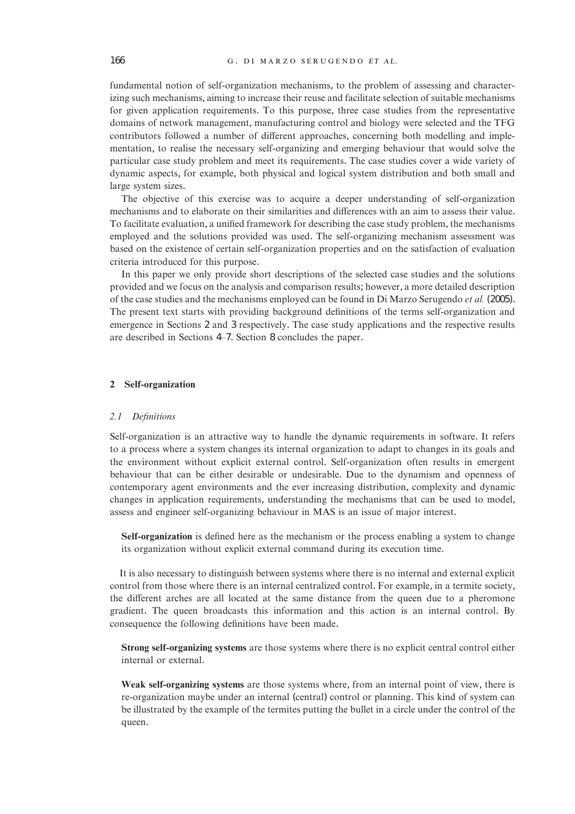fundamental notion of self-organization mechanisms, to the problem of assessing and characterizing such mechanisms, aiming to increase their reuse and facilitate selection of suitable mechanisms for given application requirements. To this purpose, three case studies from the representative domains of network management, manufacturing control and biology were selected and the TFG contributors followed a number of different approaches, concerning both modelling and implementation, to realise the necessary self-organizing and emerging behaviour that would solve the particular case study problem and meet its requirements. The case studies cover a wide variety of dynamic aspects, for example, both physical and logical system distribution and both small and large system sizes.

The objective of this exercise was to acquire a deeper understanding of self-organization mechanisms and to elaborate on their similarities and differences with an aim to assess their value. To facilitate evaluation, a unified framework for describing the case study problem, the mechanisms employed and the solutions provided was used. The self-organizing mechanism assessment was based on the existence of certain self-organization properties and on the satisfaction of evaluation criteria introduced for this purpose.

In this paper we only provide short descriptions of the selected case studies and the solutions provided and we focus on the analysis and comparison results; however, a more detailed description of the case studies and the mechanisms employed can be found in Di Marzo Serugendo *et al.* (2005). The present text starts with providing background definitions of the terms self-organization and emergence in Sections 2 and 3 respectively. The case study applications and the respective results are described in Sections 4–7. Section 8 concludes the paper.

### **2 Self-organization**

#### *2.1 Definitions*

Self-organization is an attractive way to handle the dynamic requirements in software. It refers to a process where a system changes its internal organization to adapt to changes in its goals and the environment without explicit external control. Self-organization often results in emergent behaviour that can be either desirable or undesirable. Due to the dynamism and openness of contemporary agent environments and the ever increasing distribution, complexity and dynamic changes in application requirements, understanding the mechanisms that can be used to model, assess and engineer self-organizing behaviour in MAS is an issue of major interest.

**Self-organization** is defined here as the mechanism or the process enabling a system to change its organization without explicit external command during its execution time.

It is also necessary to distinguish between systems where there is no internal and external explicit control from those where there is an internal centralized control. For example, in a termite society, the different arches are all located at the same distance from the queen due to a pheromone gradient. The queen broadcasts this information and this action is an internal control. By consequence the following definitions have been made.

**Strong self-organizing systems** are those systems where there is no explicit central control either internal or external.

**Weak self-organizing systems** are those systems where, from an internal point of view, there is re-organization maybe under an internal (central) control or planning. This kind of system can be illustrated by the example of the termites putting the bullet in a circle under the control of the queen.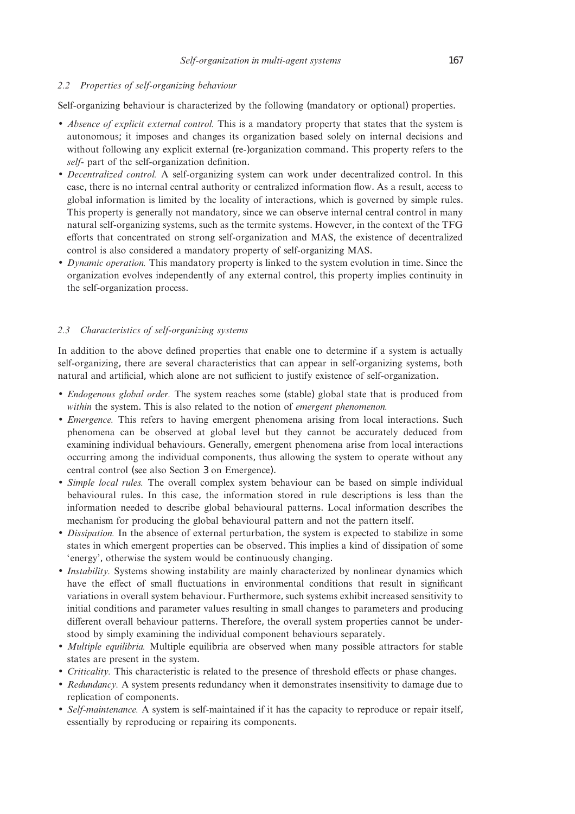# *2.2 Properties of self-organizing behaviour*

Self-organizing behaviour is characterized by the following (mandatory or optional) properties.

- *Absence of explicit external control.* This is a mandatory property that states that the system is autonomous; it imposes and changes its organization based solely on internal decisions and without following any explicit external (re-)organization command. This property refers to the *self-* part of the self-organization definition.
- *Decentralized control.* A self-organizing system can work under decentralized control. In this case, there is no internal central authority or centralized information flow. As a result, access to global information is limited by the locality of interactions, which is governed by simple rules. This property is generally not mandatory, since we can observe internal central control in many natural self-organizing systems, such as the termite systems. However, in the context of the TFG efforts that concentrated on strong self-organization and MAS, the existence of decentralized control is also considered a mandatory property of self-organizing MAS.
- *Dynamic operation.* This mandatory property is linked to the system evolution in time. Since the organization evolves independently of any external control, this property implies continuity in the self-organization process.

### *2.3 Characteristics of self-organizing systems*

In addition to the above defined properties that enable one to determine if a system is actually self-organizing, there are several characteristics that can appear in self-organizing systems, both natural and artificial, which alone are not sufficient to justify existence of self-organization.

- *Endogenous global order.* The system reaches some (stable) global state that is produced from *within* the system. This is also related to the notion of *emergent phenomenon.*
- *Emergence*. This refers to having emergent phenomena arising from local interactions. Such phenomena can be observed at global level but they cannot be accurately deduced from examining individual behaviours. Generally, emergent phenomena arise from local interactions occurring among the individual components, thus allowing the system to operate without any central control (see also Section 3 on Emergence).
- *Simple local rules.* The overall complex system behaviour can be based on simple individual behavioural rules. In this case, the information stored in rule descriptions is less than the information needed to describe global behavioural patterns. Local information describes the mechanism for producing the global behavioural pattern and not the pattern itself.
- *Dissipation.* In the absence of external perturbation, the system is expected to stabilize in some states in which emergent properties can be observed. This implies a kind of dissipation of some 'energy', otherwise the system would be continuously changing.
- *Instability*. Systems showing instability are mainly characterized by nonlinear dynamics which have the effect of small fluctuations in environmental conditions that result in significant variations in overall system behaviour. Furthermore, such systems exhibit increased sensitivity to initial conditions and parameter values resulting in small changes to parameters and producing different overall behaviour patterns. Therefore, the overall system properties cannot be understood by simply examining the individual component behaviours separately.
- *Multiple equilibria.* Multiple equilibria are observed when many possible attractors for stable states are present in the system.
- *Criticality.* This characteristic is related to the presence of threshold effects or phase changes.
- *Redundancy.* A system presents redundancy when it demonstrates insensitivity to damage due to replication of components.
- *Self-maintenance*. A system is self-maintained if it has the capacity to reproduce or repair itself, essentially by reproducing or repairing its components.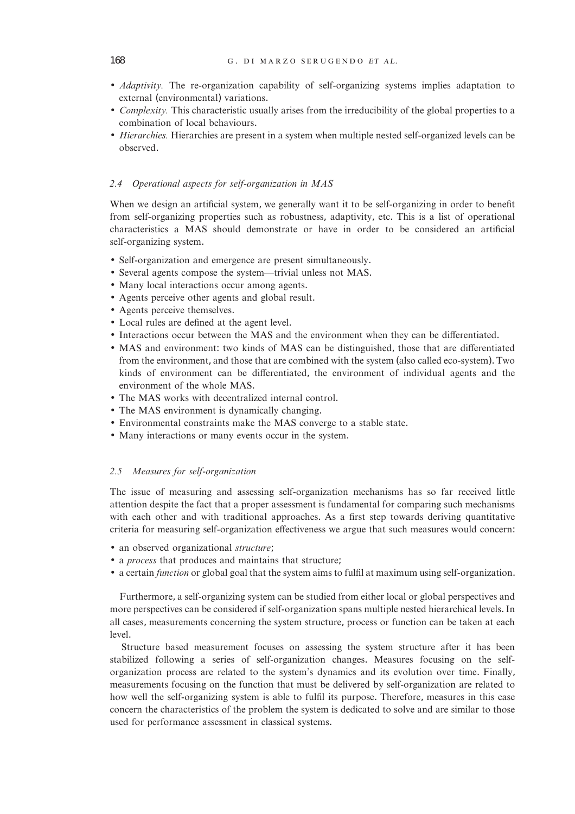- *Adaptivity*. The re-organization capability of self-organizing systems implies adaptation to external (environmental) variations.
- *Complexity*. This characteristic usually arises from the irreducibility of the global properties to a combination of local behaviours.
- *Hierarchies.* Hierarchies are present in a system when multiple nested self-organized levels can be observed.

# *2.4 Operational aspects for self-organization in MAS*

When we design an artificial system, we generally want it to be self-organizing in order to benefit from self-organizing properties such as robustness, adaptivity, etc. This is a list of operational characteristics a MAS should demonstrate or have in order to be considered an artificial self-organizing system.

- Self-organization and emergence are present simultaneously.
- Several agents compose the system—trivial unless not MAS.
- Many local interactions occur among agents.
- Agents perceive other agents and global result.
- Agents perceive themselves.
- Local rules are defined at the agent level.
- Interactions occur between the MAS and the environment when they can be differentiated.
- MAS and environment: two kinds of MAS can be distinguished, those that are differentiated from the environment, and those that are combined with the system (also called eco-system). Two kinds of environment can be differentiated, the environment of individual agents and the environment of the whole MAS.
- The MAS works with decentralized internal control.
- The MAS environment is dynamically changing.
- Environmental constraints make the MAS converge to a stable state.
- Many interactions or many events occur in the system.

# *2.5 Measures for self-organization*

The issue of measuring and assessing self-organization mechanisms has so far received little attention despite the fact that a proper assessment is fundamental for comparing such mechanisms with each other and with traditional approaches. As a first step towards deriving quantitative criteria for measuring self-organization effectiveness we argue that such measures would concern:

- an observed organizational *structure*;
- a *process* that produces and maintains that structure;
- a certain *function* or global goal that the system aims to fulfil at maximum using self-organization.

Furthermore, a self-organizing system can be studied from either local or global perspectives and more perspectives can be considered if self-organization spans multiple nested hierarchical levels. In all cases, measurements concerning the system structure, process or function can be taken at each level.

Structure based measurement focuses on assessing the system structure after it has been stabilized following a series of self-organization changes. Measures focusing on the selforganization process are related to the system's dynamics and its evolution over time. Finally, measurements focusing on the function that must be delivered by self-organization are related to how well the self-organizing system is able to fulfil its purpose. Therefore, measures in this case concern the characteristics of the problem the system is dedicated to solve and are similar to those used for performance assessment in classical systems.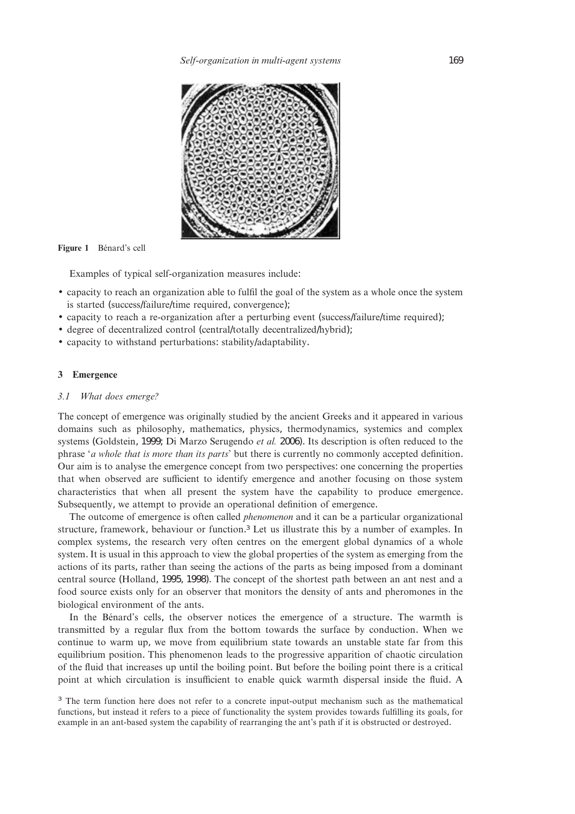

**Figure 1** Bénard's cell

Examples of typical self-organization measures include:

- capacity to reach an organization able to fulfil the goal of the system as a whole once the system is started (success/failure/time required, convergence);
- capacity to reach a re-organization after a perturbing event (success/failure/time required);
- degree of decentralized control (central/totally decentralized/hybrid);
- capacity to withstand perturbations: stability/adaptability.

# **3 Emergence**

# *3.1 What does emerge?*

The concept of emergence was originally studied by the ancient Greeks and it appeared in various domains such as philosophy, mathematics, physics, thermodynamics, systemics and complex systems (Goldstein, 1999; Di Marzo Serugendo *et al.* 2006). Its description is often reduced to the phrase '*a whole that is more than its parts*' but there is currently no commonly accepted definition. Our aim is to analyse the emergence concept from two perspectives: one concerning the properties that when observed are sufficient to identify emergence and another focusing on those system characteristics that when all present the system have the capability to produce emergence. Subsequently, we attempt to provide an operational definition of emergence.

The outcome of emergence is often called *phenomenon* and it can be a particular organizational structure, framework, behaviour or function. <sup>3</sup> Let us illustrate this by a number of examples. In complex systems, the research very often centres on the emergent global dynamics of a whole system. It is usual in this approach to view the global properties of the system as emerging from the actions of its parts, rather than seeing the actions of the parts as being imposed from a dominant central source (Holland, 1995, 1998). The concept of the shortest path between an ant nest and a food source exists only for an observer that monitors the density of ants and pheromones in the biological environment of the ants.

In the Bénard's cells, the observer notices the emergence of a structure. The warmth is transmitted by a regular flux from the bottom towards the surface by conduction. When we continue to warm up, we move from equilibrium state towards an unstable state far from this equilibrium position. This phenomenon leads to the progressive apparition of chaotic circulation of the fluid that increases up until the boiling point. But before the boiling point there is a critical point at which circulation is insufficient to enable quick warmth dispersal inside the fluid. A

<sup>&</sup>lt;sup>3</sup> The term function here does not refer to a concrete input-output mechanism such as the mathematical functions, but instead it refers to a piece of functionality the system provides towards fulfilling its goals, for example in an ant-based system the capability of rearranging the ant's path if it is obstructed or destroyed.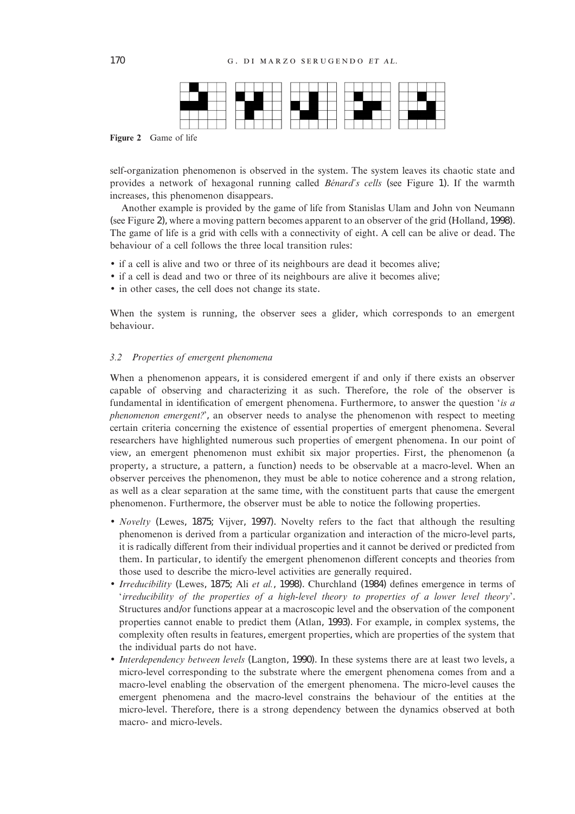

**Figure 2** Game of life

self-organization phenomenon is observed in the system. The system leaves its chaotic state and provides a network of hexagonal running called *Bénard's cells* (see Figure 1). If the warmth increases, this phenomenon disappears.

Another example is provided by the game of life from Stanislas Ulam and John von Neumann (see Figure 2), where a moving pattern becomes apparent to an observer of the grid (Holland, 1998). The game of life is a grid with cells with a connectivity of eight. A cell can be alive or dead. The behaviour of a cell follows the three local transition rules:

- if a cell is alive and two or three of its neighbours are dead it becomes alive;
- if a cell is dead and two or three of its neighbours are alive it becomes alive;
- in other cases, the cell does not change its state.

When the system is running, the observer sees a glider, which corresponds to an emergent behaviour.

### *3.2 Properties of emergent phenomena*

When a phenomenon appears, it is considered emergent if and only if there exists an observer capable of observing and characterizing it as such. Therefore, the role of the observer is fundamental in identification of emergent phenomena. Furthermore, to answer the question '*is a phenomenon emergent?*', an observer needs to analyse the phenomenon with respect to meeting certain criteria concerning the existence of essential properties of emergent phenomena. Several researchers have highlighted numerous such properties of emergent phenomena. In our point of view, an emergent phenomenon must exhibit six major properties. First, the phenomenon (a property, a structure, a pattern, a function) needs to be observable at a macro-level. When an observer perceives the phenomenon, they must be able to notice coherence and a strong relation, as well as a clear separation at the same time, with the constituent parts that cause the emergent phenomenon. Furthermore, the observer must be able to notice the following properties.

- *Novelty* (Lewes, 1875; Vijver, 1997). Novelty refers to the fact that although the resulting phenomenon is derived from a particular organization and interaction of the micro-level parts, it is radically different from their individual properties and it cannot be derived or predicted from them. In particular, to identify the emergent phenomenon different concepts and theories from those used to describe the micro-level activities are generally required.
- *Irreducibility* (Lewes, 1875; Ali *et al.*, 1998). Churchland (1984) defines emergence in terms of '*irreducibility of the properties of a high-level theory to properties of a lower level theory*'. Structures and/or functions appear at a macroscopic level and the observation of the component properties cannot enable to predict them (Atlan, 1993). For example, in complex systems, the complexity often results in features, emergent properties, which are properties of the system that the individual parts do not have.
- *Interdependency between levels* (Langton, 1990). In these systems there are at least two levels, a micro-level corresponding to the substrate where the emergent phenomena comes from and a macro-level enabling the observation of the emergent phenomena. The micro-level causes the emergent phenomena and the macro-level constrains the behaviour of the entities at the micro-level. Therefore, there is a strong dependency between the dynamics observed at both macro- and micro-levels.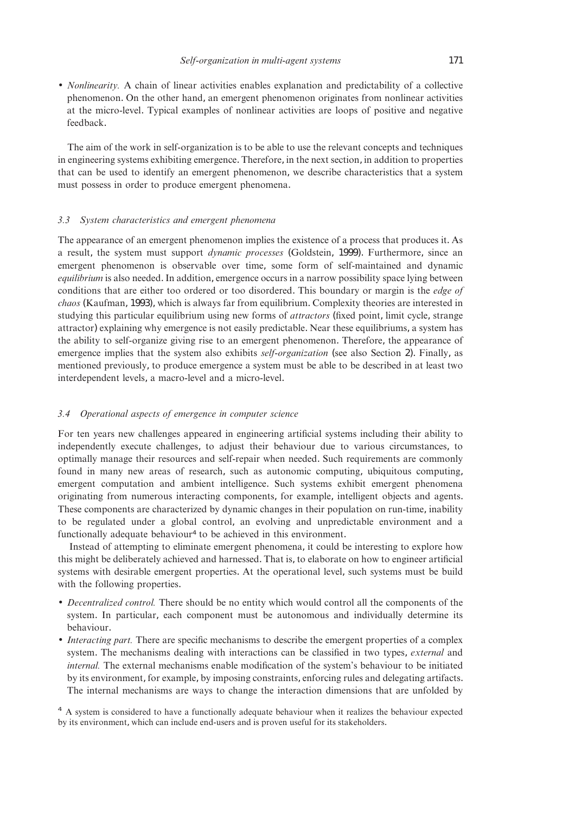• *Nonlinearity*. A chain of linear activities enables explanation and predictability of a collective phenomenon. On the other hand, an emergent phenomenon originates from nonlinear activities at the micro-level. Typical examples of nonlinear activities are loops of positive and negative feedback.

The aim of the work in self-organization is to be able to use the relevant concepts and techniques in engineering systems exhibiting emergence. Therefore, in the next section, in addition to properties that can be used to identify an emergent phenomenon, we describe characteristics that a system must possess in order to produce emergent phenomena.

# *3.3 System characteristics and emergent phenomena*

The appearance of an emergent phenomenon implies the existence of a process that produces it. As a result, the system must support *dynamic processes* (Goldstein, 1999). Furthermore, since an emergent phenomenon is observable over time, some form of self-maintained and dynamic *equilibrium* is also needed. In addition, emergence occurs in a narrow possibility space lying between conditions that are either too ordered or too disordered. This boundary or margin is the *edge of chaos* (Kaufman, 1993), which is always far from equilibrium. Complexity theories are interested in studying this particular equilibrium using new forms of *attractors* (fixed point, limit cycle, strange attractor) explaining why emergence is not easily predictable. Near these equilibriums, a system has the ability to self-organize giving rise to an emergent phenomenon. Therefore, the appearance of emergence implies that the system also exhibits *self-organization* (see also Section 2). Finally, as mentioned previously, to produce emergence a system must be able to be described in at least two interdependent levels, a macro-level and a micro-level.

### *3.4 Operational aspects of emergence in computer science*

For ten years new challenges appeared in engineering artificial systems including their ability to independently execute challenges, to adjust their behaviour due to various circumstances, to optimally manage their resources and self-repair when needed. Such requirements are commonly found in many new areas of research, such as autonomic computing, ubiquitous computing, emergent computation and ambient intelligence. Such systems exhibit emergent phenomena originating from numerous interacting components, for example, intelligent objects and agents. These components are characterized by dynamic changes in their population on run-time, inability to be regulated under a global control, an evolving and unpredictable environment and a functionally adequate behaviour<sup>4</sup> to be achieved in this environment.

Instead of attempting to eliminate emergent phenomena, it could be interesting to explore how this might be deliberately achieved and harnessed. That is, to elaborate on how to engineer artificial systems with desirable emergent properties. At the operational level, such systems must be build with the following properties.

- *Decentralized control.* There should be no entity which would control all the components of the system. In particular, each component must be autonomous and individually determine its behaviour.
- *Interacting part.* There are specific mechanisms to describe the emergent properties of a complex system. The mechanisms dealing with interactions can be classified in two types, *external* and *internal.* The external mechanisms enable modification of the system's behaviour to be initiated by its environment, for example, by imposing constraints, enforcing rules and delegating artifacts. The internal mechanisms are ways to change the interaction dimensions that are unfolded by

<sup>4</sup> A system is considered to have a functionally adequate behaviour when it realizes the behaviour expected by its environment, which can include end-users and is proven useful for its stakeholders.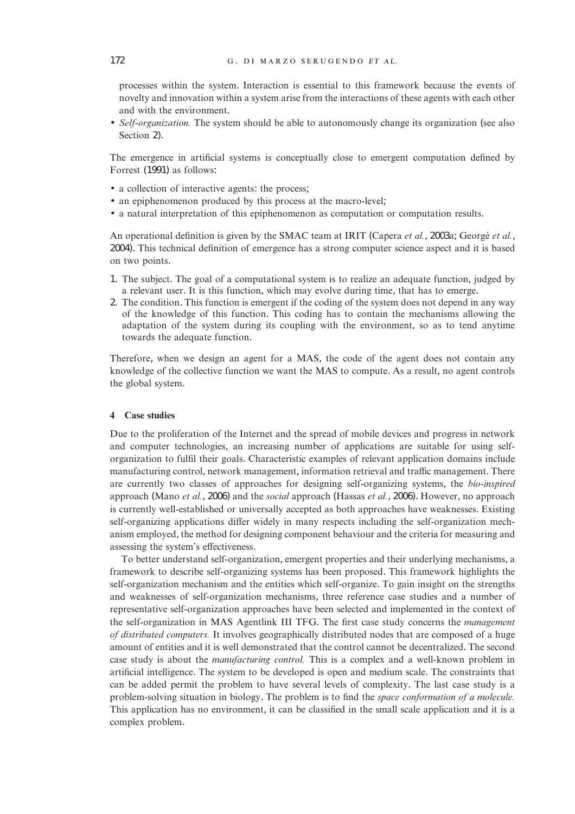processes within the system. Interaction is essential to this framework because the events of novelty and innovation within a system arise from the interactions of these agents with each other and with the environment.

• *Self-organization*. The system should be able to autonomously change its organization (see also Section 2).

The emergence in artificial systems is conceptually close to emergent computation defined by Forrest (1991) as follows:

- a collection of interactive agents: the process;
- an epiphenomenon produced by this process at the macro-level;
- a natural interpretation of this epiphenomenon as computation or computation results.

An operational definition is given by the SMAC team at IRIT (Capera *et al.*, 2003a; Georgé *et al.*, 2004). This technical definition of emergence has a strong computer science aspect and it is based on two points.

- 1. The subject. The goal of a computational system is to realize an adequate function, judged by a relevant user. It is this function, which may evolve during time, that has to emerge.
- 2. The condition. This function is emergent if the coding of the system does not depend in any way of the knowledge of this function. This coding has to contain the mechanisms allowing the adaptation of the system during its coupling with the environment, so as to tend anytime towards the adequate function.

Therefore, when we design an agent for a MAS, the code of the agent does not contain any knowledge of the collective function we want the MAS to compute. As a result, no agent controls the global system.

### **4 Case studies**

Due to the proliferation of the Internet and the spread of mobile devices and progress in network and computer technologies, an increasing number of applications are suitable for using selforganization to fulfil their goals. Characteristic examples of relevant application domains include manufacturing control, network management, information retrieval and traffic management. There are currently two classes of approaches for designing self-organizing systems, the *bio-inspired* approach (Mano *et al.*, 2006) and the *social* approach (Hassas *et al.*, 2006). However, no approach is currently well-established or universally accepted as both approaches have weaknesses. Existing self-organizing applications differ widely in many respects including the self-organization mechanism employed, the method for designing component behaviour and the criteria for measuring and assessing the system's effectiveness.

To better understand self-organization, emergent properties and their underlying mechanisms, a framework to describe self-organizing systems has been proposed. This framework highlights the self-organization mechanism and the entities which self-organize. To gain insight on the strengths and weaknesses of self-organization mechanisms, three reference case studies and a number of representative self-organization approaches have been selected and implemented in the context of the self-organization in MAS Agentlink III TFG. The first case study concerns the *management of distributed computers.* It involves geographically distributed nodes that are composed of a huge amount of entities and it is well demonstrated that the control cannot be decentralized. The second case study is about the *manufacturing control.* This is a complex and a well-known problem in artificial intelligence. The system to be developed is open and medium scale. The constraints that can be added permit the problem to have several levels of complexity. The last case study is a problem-solving situation in biology. The problem is to find the *space conformation of a molecule.* This application has no environment, it can be classified in the small scale application and it is a complex problem.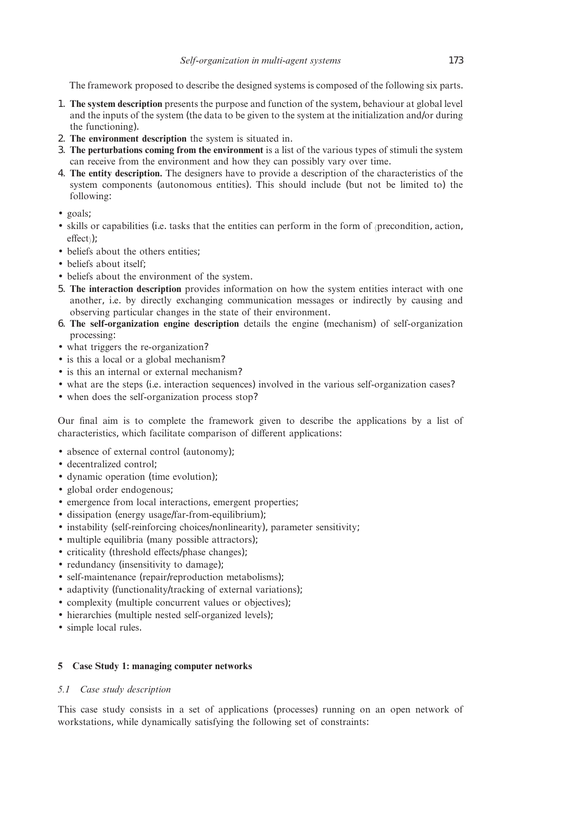The framework proposed to describe the designed systems is composed of the following six parts.

- 1. **The system description** presents the purpose and function of the system, behaviour at global level and the inputs of the system (the data to be given to the system at the initialization and/or during the functioning).
- 2. **The environment description** the system is situated in.
- 3. **The perturbations coming from the environment** is a list of the various types of stimuli the system can receive from the environment and how they can possibly vary over time.
- 4. **The entity description.** The designers have to provide a description of the characteristics of the system components (autonomous entities). This should include (but not be limited to) the following:
- goals;
- $\bullet$  skills or capabilities (i.e. tasks that the entities can perform in the form of  $\alpha$  precondition, action,  $effect$ );
- beliefs about the others entities;
- beliefs about itself:
- beliefs about the environment of the system.
- 5. **The interaction description** provides information on how the system entities interact with one another, i.e. by directly exchanging communication messages or indirectly by causing and observing particular changes in the state of their environment.
- 6. **The self-organization engine description** details the engine (mechanism) of self-organization processing:
- what triggers the re-organization?
- is this a local or a global mechanism?
- is this an internal or external mechanism?
- what are the steps (i.e. interaction sequences) involved in the various self-organization cases?
- when does the self-organization process stop?

Our final aim is to complete the framework given to describe the applications by a list of characteristics, which facilitate comparison of different applications:

- absence of external control (autonomy);
- decentralized control;
- dynamic operation (time evolution);
- global order endogenous;
- emergence from local interactions, emergent properties;
- dissipation (energy usage/far-from-equilibrium);
- instability (self-reinforcing choices/nonlinearity), parameter sensitivity;
- multiple equilibria (many possible attractors);
- criticality (threshold effects/phase changes);
- redundancy (insensitivity to damage);
- self-maintenance (repair/reproduction metabolisms);
- adaptivity (functionality/tracking of external variations);
- complexity (multiple concurrent values or objectives);
- hierarchies (multiple nested self-organized levels);
- simple local rules.

# **5 Case Study 1: managing computer networks**

# *5.1 Case study description*

This case study consists in a set of applications (processes) running on an open network of workstations, while dynamically satisfying the following set of constraints: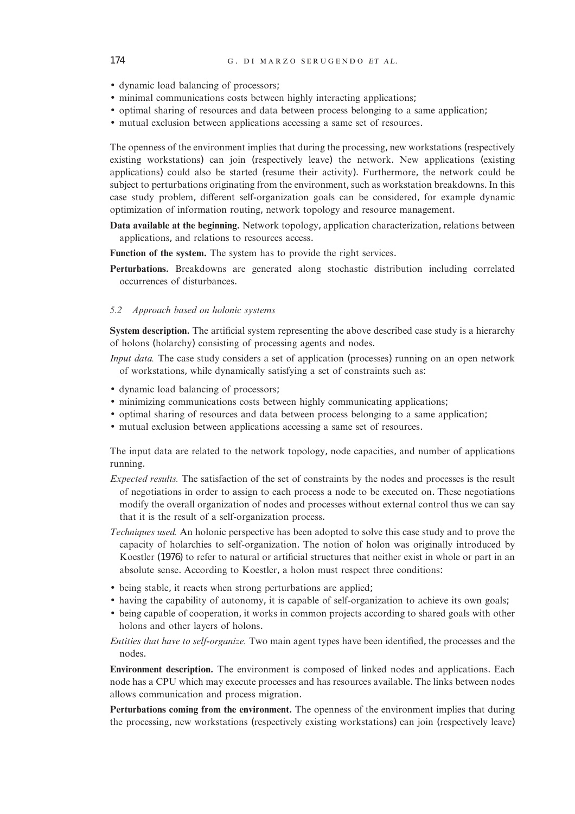- dynamic load balancing of processors;
- minimal communications costs between highly interacting applications;
- optimal sharing of resources and data between process belonging to a same application;
- mutual exclusion between applications accessing a same set of resources.

The openness of the environment implies that during the processing, new workstations (respectively existing workstations) can join (respectively leave) the network. New applications (existing applications) could also be started (resume their activity). Furthermore, the network could be subject to perturbations originating from the environment, such as workstation breakdowns. In this case study problem, different self-organization goals can be considered, for example dynamic optimization of information routing, network topology and resource management.

**Data available at the beginning.** Network topology, application characterization, relations between applications, and relations to resources access.

**Function of the system.** The system has to provide the right services.

**Perturbations.** Breakdowns are generated along stochastic distribution including correlated occurrences of disturbances.

# *5.2 Approach based on holonic systems*

**System description.** The artificial system representing the above described case study is a hierarchy of holons (holarchy) consisting of processing agents and nodes.

- *Input data.* The case study considers a set of application (processes) running on an open network of workstations, while dynamically satisfying a set of constraints such as:
- dynamic load balancing of processors;
- minimizing communications costs between highly communicating applications;
- optimal sharing of resources and data between process belonging to a same application;
- mutual exclusion between applications accessing a same set of resources.

The input data are related to the network topology, node capacities, and number of applications running.

- *Expected results.* The satisfaction of the set of constraints by the nodes and processes is the result of negotiations in order to assign to each process a node to be executed on. These negotiations modify the overall organization of nodes and processes without external control thus we can say that it is the result of a self-organization process.
- *Techniques used.* An holonic perspective has been adopted to solve this case study and to prove the capacity of holarchies to self-organization. The notion of holon was originally introduced by Koestler (1976) to refer to natural or artificial structures that neither exist in whole or part in an absolute sense. According to Koestler, a holon must respect three conditions:
- being stable, it reacts when strong perturbations are applied;
- having the capability of autonomy, it is capable of self-organization to achieve its own goals;
- being capable of cooperation, it works in common projects according to shared goals with other holons and other layers of holons.

*Entities that have to self-organize.* Two main agent types have been identified, the processes and the nodes.

**Environment description.** The environment is composed of linked nodes and applications. Each node has a CPU which may execute processes and has resources available. The links between nodes allows communication and process migration.

**Perturbations coming from the environment.** The openness of the environment implies that during the processing, new workstations (respectively existing workstations) can join (respectively leave)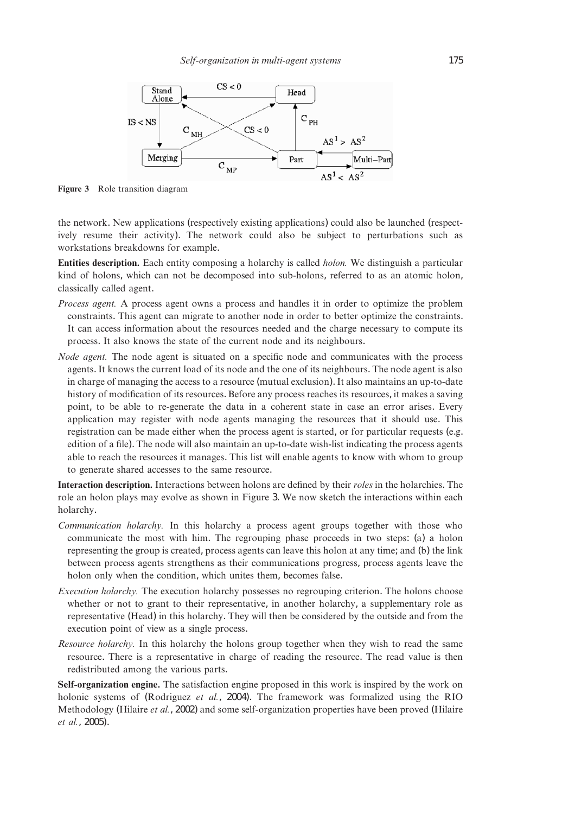![](_page_10_Figure_1.jpeg)

**Figure 3** Role transition diagram

the network. New applications (respectively existing applications) could also be launched (respectively resume their activity). The network could also be subject to perturbations such as workstations breakdowns for example.

**Entities description.** Each entity composing a holarchy is called *holon.* We distinguish a particular kind of holons, which can not be decomposed into sub-holons, referred to as an atomic holon, classically called agent.

- *Process agent.* A process agent owns a process and handles it in order to optimize the problem constraints. This agent can migrate to another node in order to better optimize the constraints. It can access information about the resources needed and the charge necessary to compute its process. It also knows the state of the current node and its neighbours.
- *Node agent.* The node agent is situated on a specific node and communicates with the process agents. It knows the current load of its node and the one of its neighbours. The node agent is also in charge of managing the access to a resource (mutual exclusion). It also maintains an up-to-date history of modification of its resources. Before any process reaches its resources, it makes a saving point, to be able to re-generate the data in a coherent state in case an error arises. Every application may register with node agents managing the resources that it should use. This registration can be made either when the process agent is started, or for particular requests (e.g. edition of a file). The node will also maintain an up-to-date wish-list indicating the process agents able to reach the resources it manages. This list will enable agents to know with whom to group to generate shared accesses to the same resource.

**Interaction description.** Interactions between holons are defined by their *roles* in the holarchies. The role an holon plays may evolve as shown in Figure 3. We now sketch the interactions within each holarchy.

- *Communication holarchy.* In this holarchy a process agent groups together with those who communicate the most with him. The regrouping phase proceeds in two steps: (a) a holon representing the group is created, process agents can leave this holon at any time; and (b) the link between process agents strengthens as their communications progress, process agents leave the holon only when the condition, which unites them, becomes false.
- *Execution holarchy.* The execution holarchy possesses no regrouping criterion. The holons choose whether or not to grant to their representative, in another holarchy, a supplementary role as representative (Head) in this holarchy. They will then be considered by the outside and from the execution point of view as a single process.
- *Resource holarchy.* In this holarchy the holons group together when they wish to read the same resource. There is a representative in charge of reading the resource. The read value is then redistributed among the various parts.

**Self-organization engine.** The satisfaction engine proposed in this work is inspired by the work on holonic systems of (Rodriguez *et al.*, 2004). The framework was formalized using the RIO Methodology (Hilaire *et al.*, 2002) and some self-organization properties have been proved (Hilaire *et al.*, 2005).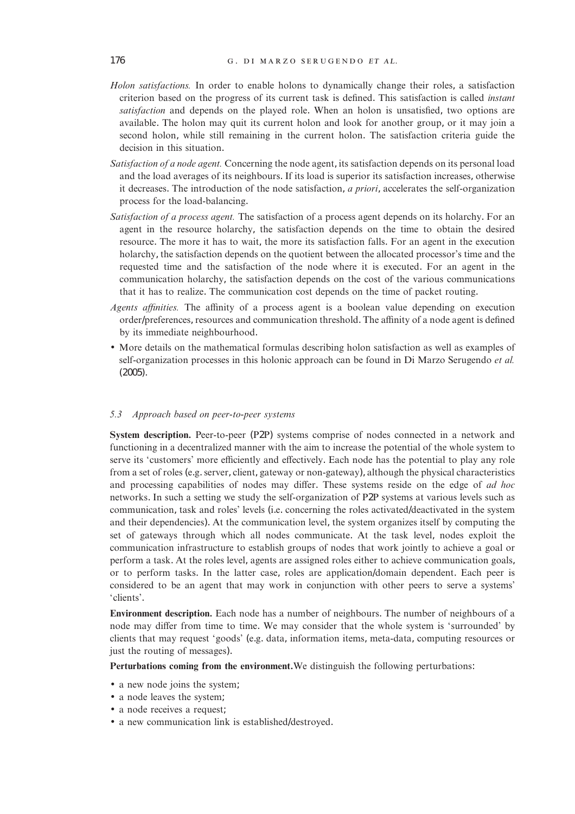- *Holon satisfactions.* In order to enable holons to dynamically change their roles, a satisfaction criterion based on the progress of its current task is defined. This satisfaction is called *instant satisfaction* and depends on the played role. When an holon is unsatisfied, two options are available. The holon may quit its current holon and look for another group, or it may join a second holon, while still remaining in the current holon. The satisfaction criteria guide the decision in this situation.
- *Satisfaction of a node agent.* Concerning the node agent, its satisfaction depends on its personal load and the load averages of its neighbours. If its load is superior its satisfaction increases, otherwise it decreases. The introduction of the node satisfaction, *a priori*, accelerates the self-organization process for the load-balancing.
- *Satisfaction of a process agent.* The satisfaction of a process agent depends on its holarchy. For an agent in the resource holarchy, the satisfaction depends on the time to obtain the desired resource. The more it has to wait, the more its satisfaction falls. For an agent in the execution holarchy, the satisfaction depends on the quotient between the allocated processor's time and the requested time and the satisfaction of the node where it is executed. For an agent in the communication holarchy, the satisfaction depends on the cost of the various communications that it has to realize. The communication cost depends on the time of packet routing.
- *Agents affinities.* The affinity of a process agent is a boolean value depending on execution order/preferences, resources and communication threshold. The affinity of a node agent is defined by its immediate neighbourhood.
- More details on the mathematical formulas describing holon satisfaction as well as examples of self-organization processes in this holonic approach can be found in Di Marzo Serugendo *et al.* (2005).

#### *5.3 Approach based on peer-to-peer systems*

**System description.** Peer-to-peer (P2P) systems comprise of nodes connected in a network and functioning in a decentralized manner with the aim to increase the potential of the whole system to serve its 'customers' more efficiently and effectively. Each node has the potential to play any role from a set of roles (e.g. server, client, gateway or non-gateway), although the physical characteristics and processing capabilities of nodes may differ. These systems reside on the edge of *ad hoc* networks. In such a setting we study the self-organization of P2P systems at various levels such as communication, task and roles' levels (i.e. concerning the roles activated/deactivated in the system and their dependencies). At the communication level, the system organizes itself by computing the set of gateways through which all nodes communicate. At the task level, nodes exploit the communication infrastructure to establish groups of nodes that work jointly to achieve a goal or perform a task. At the roles level, agents are assigned roles either to achieve communication goals, or to perform tasks. In the latter case, roles are application/domain dependent. Each peer is considered to be an agent that may work in conjunction with other peers to serve a systems' 'clients'.

**Environment description.** Each node has a number of neighbours. The number of neighbours of a node may differ from time to time. We may consider that the whole system is 'surrounded' by clients that may request 'goods' (e.g. data, information items, meta-data, computing resources or just the routing of messages).

**Perturbations coming from the environment.**We distinguish the following perturbations:

- a new node joins the system;
- a node leaves the system;
- a node receives a request;
- a new communication link is established/destroyed.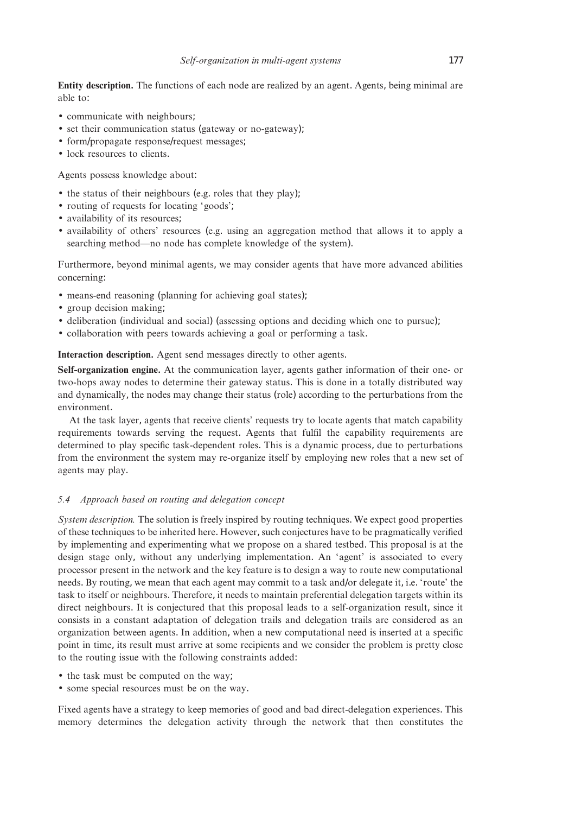**Entity description.** The functions of each node are realized by an agent. Agents, being minimal are able to:

- communicate with neighbours;
- set their communication status (gateway or no-gateway);
- form/propagate response/request messages;
- lock resources to clients.

Agents possess knowledge about:

- the status of their neighbours (e.g. roles that they play);
- routing of requests for locating 'goods';
- availability of its resources;
- availability of others' resources (e.g. using an aggregation method that allows it to apply a searching method—no node has complete knowledge of the system).

Furthermore, beyond minimal agents, we may consider agents that have more advanced abilities concerning:

- means-end reasoning (planning for achieving goal states);
- group decision making;
- deliberation (individual and social) (assessing options and deciding which one to pursue);
- collaboration with peers towards achieving a goal or performing a task.

**Interaction description.** Agent send messages directly to other agents.

**Self-organization engine.** At the communication layer, agents gather information of their one- or two-hops away nodes to determine their gateway status. This is done in a totally distributed way and dynamically, the nodes may change their status (role) according to the perturbations from the environment.

At the task layer, agents that receive clients' requests try to locate agents that match capability requirements towards serving the request. Agents that fulfil the capability requirements are determined to play specific task-dependent roles. This is a dynamic process, due to perturbations from the environment the system may re-organize itself by employing new roles that a new set of agents may play.

# *5.4 Approach based on routing and delegation concept*

*System description.* The solution is freely inspired by routing techniques. We expect good properties of these techniques to be inherited here. However, such conjectures have to be pragmatically verified by implementing and experimenting what we propose on a shared testbed. This proposal is at the design stage only, without any underlying implementation. An 'agent' is associated to every processor present in the network and the key feature is to design a way to route new computational needs. By routing, we mean that each agent may commit to a task and/or delegate it, i.e. 'route' the task to itself or neighbours. Therefore, it needs to maintain preferential delegation targets within its direct neighbours. It is conjectured that this proposal leads to a self-organization result, since it consists in a constant adaptation of delegation trails and delegation trails are considered as an organization between agents. In addition, when a new computational need is inserted at a specific point in time, its result must arrive at some recipients and we consider the problem is pretty close to the routing issue with the following constraints added:

- the task must be computed on the way;
- some special resources must be on the way.

Fixed agents have a strategy to keep memories of good and bad direct-delegation experiences. This memory determines the delegation activity through the network that then constitutes the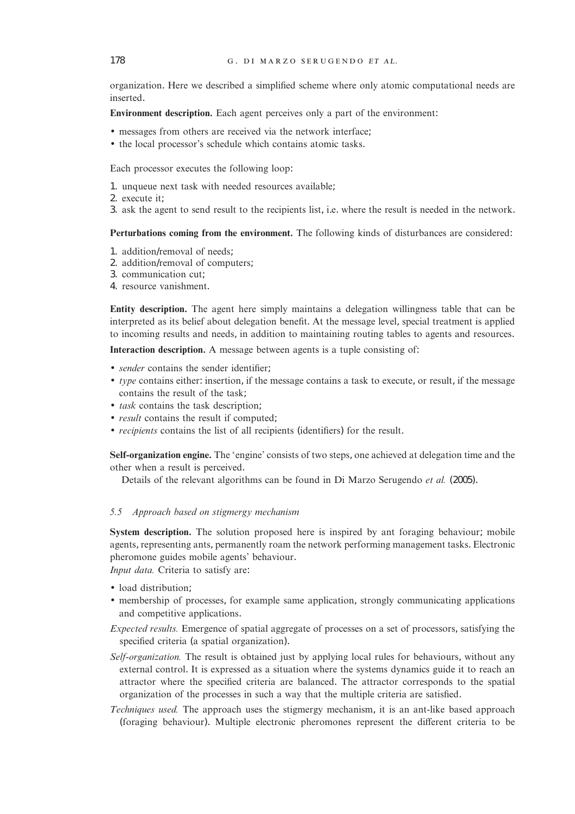organization. Here we described a simplified scheme where only atomic computational needs are inserted.

**Environment description.** Each agent perceives only a part of the environment:

- messages from others are received via the network interface;
- the local processor's schedule which contains atomic tasks.

Each processor executes the following loop:

- 1. unqueue next task with needed resources available;
- 2. execute it;
- 3. ask the agent to send result to the recipients list, i.e. where the result is needed in the network.

**Perturbations coming from the environment.** The following kinds of disturbances are considered:

- 1. addition/removal of needs;
- 2. addition/removal of computers;
- 3. communication cut;
- 4. resource vanishment.

**Entity description.** The agent here simply maintains a delegation willingness table that can be interpreted as its belief about delegation benefit. At the message level, special treatment is applied to incoming results and needs, in addition to maintaining routing tables to agents and resources.

**Interaction description.** A message between agents is a tuple consisting of:

- *sender* contains the sender identifier;
- *type* contains either: insertion, if the message contains a task to execute, or result, if the message contains the result of the task;
- *task* contains the task description;
- *result* contains the result if computed;
- *recipients* contains the list of all recipients (identifiers) for the result.

**Self-organization engine.** The 'engine' consists of two steps, one achieved at delegation time and the other when a result is perceived.

Details of the relevant algorithms can be found in Di Marzo Serugendo *et al.* (2005).

### *5.5 Approach based on stigmergy mechanism*

**System description.** The solution proposed here is inspired by ant foraging behaviour; mobile agents, representing ants, permanently roam the network performing management tasks. Electronic pheromone guides mobile agents' behaviour.

*Input data.* Criteria to satisfy are:

- load distribution:
- membership of processes, for example same application, strongly communicating applications and competitive applications.
- *Expected results.* Emergence of spatial aggregate of processes on a set of processors, satisfying the specified criteria (a spatial organization).
- *Self-organization.* The result is obtained just by applying local rules for behaviours, without any external control. It is expressed as a situation where the systems dynamics guide it to reach an attractor where the specified criteria are balanced. The attractor corresponds to the spatial organization of the processes in such a way that the multiple criteria are satisfied.
- *Techniques used.* The approach uses the stigmergy mechanism, it is an ant-like based approach (foraging behaviour). Multiple electronic pheromones represent the different criteria to be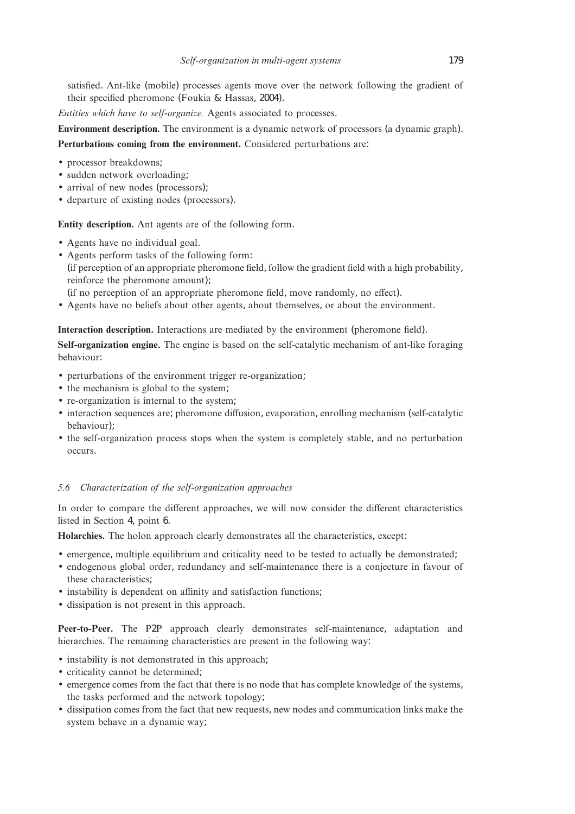satisfied. Ant-like (mobile) processes agents move over the network following the gradient of their specified pheromone (Foukia & Hassas, 2004).

*Entities which have to self-organize.* Agents associated to processes.

**Environment description.** The environment is a dynamic network of processors (a dynamic graph). **Perturbations coming from the environment.** Considered perturbations are:

- processor breakdowns;
- sudden network overloading;
- arrival of new nodes (processors);
- departure of existing nodes (processors).

**Entity description.** Ant agents are of the following form.

- Agents have no individual goal.
- Agents perform tasks of the following form: (if perception of an appropriate pheromone field, follow the gradient field with a high probability, reinforce the pheromone amount); (if no perception of an appropriate pheromone field, move randomly, no effect).
- Agents have no beliefs about other agents, about themselves, or about the environment.

**Interaction description.** Interactions are mediated by the environment (pheromone field).

**Self-organization engine.** The engine is based on the self-catalytic mechanism of ant-like foraging behaviour:

- perturbations of the environment trigger re-organization;
- the mechanism is global to the system;
- re-organization is internal to the system;
- interaction sequences are; pheromone diffusion, evaporation, enrolling mechanism (self-catalytic behaviour);
- the self-organization process stops when the system is completely stable, and no perturbation occurs.

# *5.6 Characterization of the self-organization approaches*

In order to compare the different approaches, we will now consider the different characteristics listed in Section 4, point 6.

**Holarchies.** The holon approach clearly demonstrates all the characteristics, except:

- emergence, multiple equilibrium and criticality need to be tested to actually be demonstrated;
- endogenous global order, redundancy and self-maintenance there is a conjecture in favour of these characteristics;
- instability is dependent on affinity and satisfaction functions;
- dissipation is not present in this approach.

**Peer-to-Peer.** The P2P approach clearly demonstrates self-maintenance, adaptation and hierarchies. The remaining characteristics are present in the following way:

- instability is not demonstrated in this approach;
- criticality cannot be determined;
- emergence comes from the fact that there is no node that has complete knowledge of the systems, the tasks performed and the network topology;
- dissipation comes from the fact that new requests, new nodes and communication links make the system behave in a dynamic way;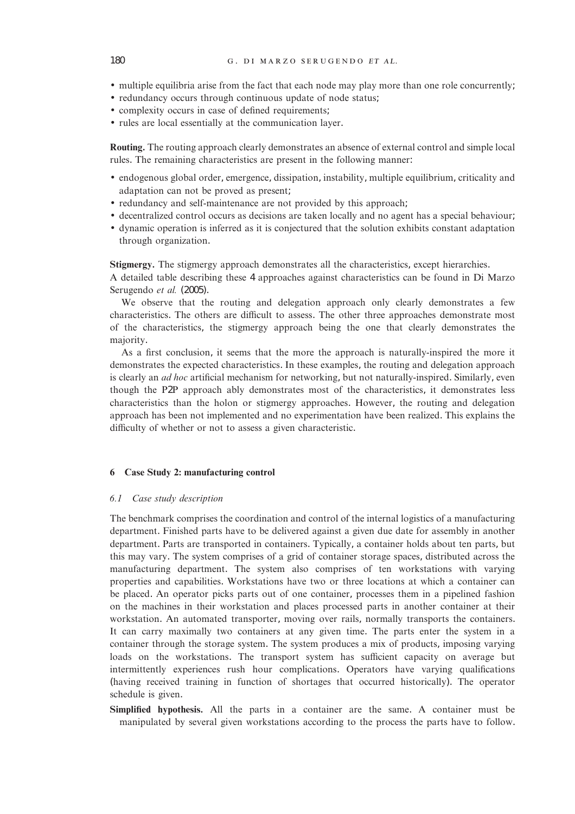- multiple equilibria arise from the fact that each node may play more than one role concurrently;
- redundancy occurs through continuous update of node status;
- complexity occurs in case of defined requirements;
- rules are local essentially at the communication layer.

**Routing.** The routing approach clearly demonstrates an absence of external control and simple local rules. The remaining characteristics are present in the following manner:

- endogenous global order, emergence, dissipation, instability, multiple equilibrium, criticality and adaptation can not be proved as present;
- redundancy and self-maintenance are not provided by this approach;
- decentralized control occurs as decisions are taken locally and no agent has a special behaviour;
- dynamic operation is inferred as it is conjectured that the solution exhibits constant adaptation through organization.

**Stigmergy.** The stigmergy approach demonstrates all the characteristics, except hierarchies. A detailed table describing these 4 approaches against characteristics can be found in Di Marzo Serugendo *et al.* (2005).

We observe that the routing and delegation approach only clearly demonstrates a few characteristics. The others are difficult to assess. The other three approaches demonstrate most of the characteristics, the stigmergy approach being the one that clearly demonstrates the majority.

As a first conclusion, it seems that the more the approach is naturally-inspired the more it demonstrates the expected characteristics. In these examples, the routing and delegation approach is clearly an *ad hoc* artificial mechanism for networking, but not naturally-inspired. Similarly, even though the P2P approach ably demonstrates most of the characteristics, it demonstrates less characteristics than the holon or stigmergy approaches. However, the routing and delegation approach has been not implemented and no experimentation have been realized. This explains the difficulty of whether or not to assess a given characteristic.

### **6 Case Study 2: manufacturing control**

#### *6.1 Case study description*

The benchmark comprises the coordination and control of the internal logistics of a manufacturing department. Finished parts have to be delivered against a given due date for assembly in another department. Parts are transported in containers. Typically, a container holds about ten parts, but this may vary. The system comprises of a grid of container storage spaces, distributed across the manufacturing department. The system also comprises of ten workstations with varying properties and capabilities. Workstations have two or three locations at which a container can be placed. An operator picks parts out of one container, processes them in a pipelined fashion on the machines in their workstation and places processed parts in another container at their workstation. An automated transporter, moving over rails, normally transports the containers. It can carry maximally two containers at any given time. The parts enter the system in a container through the storage system. The system produces a mix of products, imposing varying loads on the workstations. The transport system has sufficient capacity on average but intermittently experiences rush hour complications. Operators have varying qualifications (having received training in function of shortages that occurred historically). The operator schedule is given.

**Simplified hypothesis.** All the parts in a container are the same. A container must be manipulated by several given workstations according to the process the parts have to follow.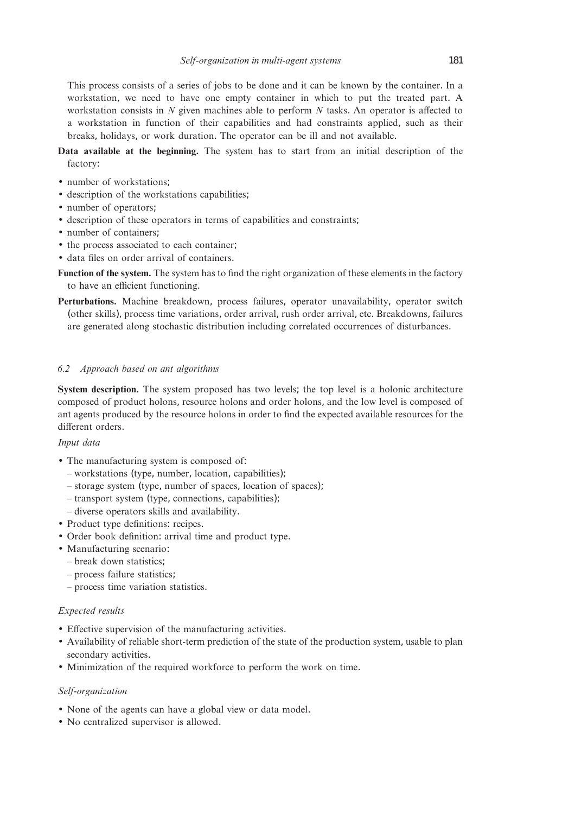This process consists of a series of jobs to be done and it can be known by the container. In a workstation, we need to have one empty container in which to put the treated part. A workstation consists in *N* given machines able to perform *N* tasks. An operator is affected to a workstation in function of their capabilities and had constraints applied, such as their breaks, holidays, or work duration. The operator can be ill and not available.

- **Data available at the beginning.** The system has to start from an initial description of the factory:
- number of workstations:
- description of the workstations capabilities;
- number of operators;
- description of these operators in terms of capabilities and constraints;
- number of containers:
- the process associated to each container;
- data files on order arrival of containers.
- **Function of the system.** The system has to find the right organization of these elements in the factory to have an efficient functioning.
- **Perturbations.** Machine breakdown, process failures, operator unavailability, operator switch (other skills), process time variations, order arrival, rush order arrival, etc. Breakdowns, failures are generated along stochastic distribution including correlated occurrences of disturbances.

# *6.2 Approach based on ant algorithms*

**System description.** The system proposed has two levels; the top level is a holonic architecture composed of product holons, resource holons and order holons, and the low level is composed of ant agents produced by the resource holons in order to find the expected available resources for the different orders.

# *Input data*

- The manufacturing system is composed of:
	- workstations (type, number, location, capabilities);
	- storage system (type, number of spaces, location of spaces);
	- transport system (type, connections, capabilities);
	- diverse operators skills and availability.
- Product type definitions: recipes.
- Order book definition: arrival time and product type.
- Manufacturing scenario:
	- break down statistics;
	- process failure statistics;
	- process time variation statistics.

# *Expected results*

- Effective supervision of the manufacturing activities.
- Availability of reliable short-term prediction of the state of the production system, usable to plan secondary activities.
- Minimization of the required workforce to perform the work on time.

# *Self-organization*

- None of the agents can have a global view or data model.
- No centralized supervisor is allowed.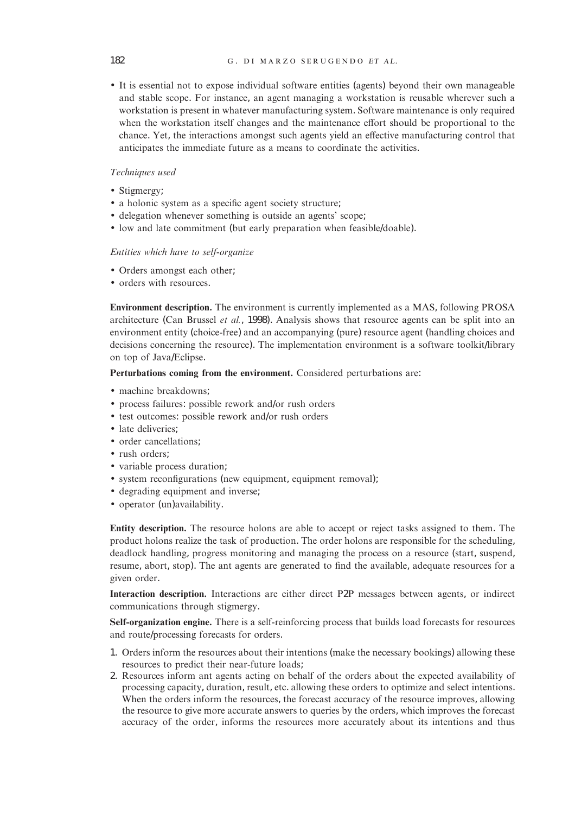• It is essential not to expose individual software entities (agents) beyond their own manageable and stable scope. For instance, an agent managing a workstation is reusable wherever such a workstation is present in whatever manufacturing system. Software maintenance is only required when the workstation itself changes and the maintenance effort should be proportional to the chance. Yet, the interactions amongst such agents yield an effective manufacturing control that anticipates the immediate future as a means to coordinate the activities.

### *Techniques used*

- Stigmergy;
- a holonic system as a specific agent society structure;
- delegation whenever something is outside an agents' scope;
- low and late commitment (but early preparation when feasible/doable).

### *Entities which have to self-organize*

- Orders amongst each other;
- orders with resources.

**Environment description.** The environment is currently implemented as a MAS, following PROSA architecture (Can Brussel *et al.*, 1998). Analysis shows that resource agents can be split into an environment entity (choice-free) and an accompanying (pure) resource agent (handling choices and decisions concerning the resource). The implementation environment is a software toolkit/library on top of Java/Eclipse.

**Perturbations coming from the environment.** Considered perturbations are:

- machine breakdowns:
- process failures: possible rework and/or rush orders
- test outcomes: possible rework and/or rush orders
- late deliveries;
- order cancellations:
- rush orders;
- variable process duration;
- system reconfigurations (new equipment, equipment removal);
- degrading equipment and inverse;
- operator (un)availability.

**Entity description.** The resource holons are able to accept or reject tasks assigned to them. The product holons realize the task of production. The order holons are responsible for the scheduling, deadlock handling, progress monitoring and managing the process on a resource (start, suspend, resume, abort, stop). The ant agents are generated to find the available, adequate resources for a given order.

**Interaction description.** Interactions are either direct P2P messages between agents, or indirect communications through stigmergy.

**Self-organization engine.** There is a self-reinforcing process that builds load forecasts for resources and route/processing forecasts for orders.

- 1. Orders inform the resources about their intentions (make the necessary bookings) allowing these resources to predict their near-future loads;
- 2. Resources inform ant agents acting on behalf of the orders about the expected availability of processing capacity, duration, result, etc. allowing these orders to optimize and select intentions. When the orders inform the resources, the forecast accuracy of the resource improves, allowing the resource to give more accurate answers to queries by the orders, which improves the forecast accuracy of the order, informs the resources more accurately about its intentions and thus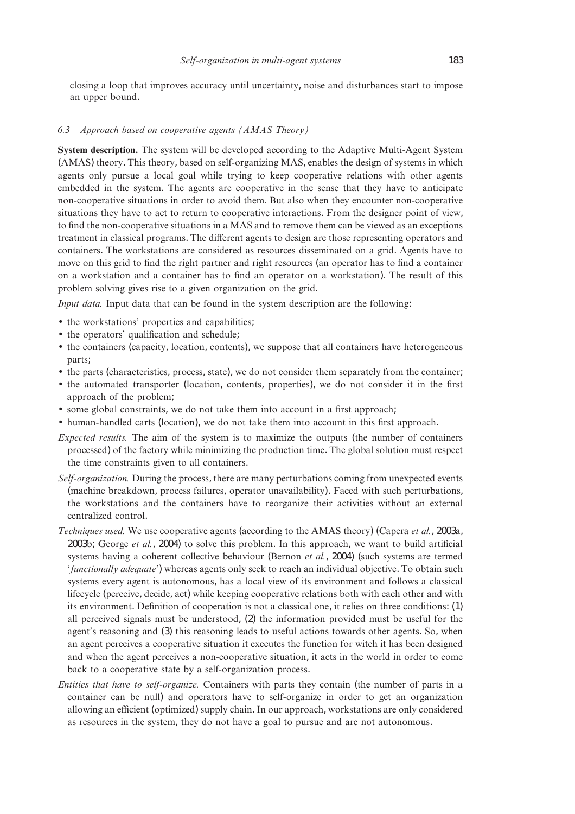closing a loop that improves accuracy until uncertainty, noise and disturbances start to impose an upper bound.

### *6.3 Approach based on cooperative agents (AMAS Theory)*

**System description.** The system will be developed according to the Adaptive Multi-Agent System (AMAS) theory. This theory, based on self-organizing MAS, enables the design of systems in which agents only pursue a local goal while trying to keep cooperative relations with other agents embedded in the system. The agents are cooperative in the sense that they have to anticipate non-cooperative situations in order to avoid them. But also when they encounter non-cooperative situations they have to act to return to cooperative interactions. From the designer point of view, to find the non-cooperative situations in a MAS and to remove them can be viewed as an exceptions treatment in classical programs. The different agents to design are those representing operators and containers. The workstations are considered as resources disseminated on a grid. Agents have to move on this grid to find the right partner and right resources (an operator has to find a container on a workstation and a container has to find an operator on a workstation). The result of this problem solving gives rise to a given organization on the grid.

*Input data.* Input data that can be found in the system description are the following:

- the workstations' properties and capabilities;
- the operators' qualification and schedule;
- the containers (capacity, location, contents), we suppose that all containers have heterogeneous parts;
- the parts (characteristics, process, state), we do not consider them separately from the container;
- the automated transporter (location, contents, properties), we do not consider it in the first approach of the problem;
- some global constraints, we do not take them into account in a first approach;
- human-handled carts (location), we do not take them into account in this first approach.
- *Expected results.* The aim of the system is to maximize the outputs (the number of containers processed) of the factory while minimizing the production time. The global solution must respect the time constraints given to all containers.
- *Self-organization.* During the process, there are many perturbations coming from unexpected events (machine breakdown, process failures, operator unavailability). Faced with such perturbations, the workstations and the containers have to reorganize their activities without an external centralized control.
- *Techniques used.* We use cooperative agents (according to the AMAS theory) (Capera *et al.*, 2003a, 2003b; George *et al.*, 2004) to solve this problem. In this approach, we want to build artificial systems having a coherent collective behaviour (Bernon *et al.*, 2004) (such systems are termed '*functionally adequate*') whereas agents only seek to reach an individual objective. To obtain such systems every agent is autonomous, has a local view of its environment and follows a classical lifecycle (perceive, decide, act) while keeping cooperative relations both with each other and with its environment. Definition of cooperation is not a classical one, it relies on three conditions: (1) all perceived signals must be understood, (2) the information provided must be useful for the agent's reasoning and (3) this reasoning leads to useful actions towards other agents. So, when an agent perceives a cooperative situation it executes the function for witch it has been designed and when the agent perceives a non-cooperative situation, it acts in the world in order to come back to a cooperative state by a self-organization process.
- *Entities that have to self-organize.* Containers with parts they contain (the number of parts in a container can be null) and operators have to self-organize in order to get an organization allowing an efficient (optimized) supply chain. In our approach, workstations are only considered as resources in the system, they do not have a goal to pursue and are not autonomous.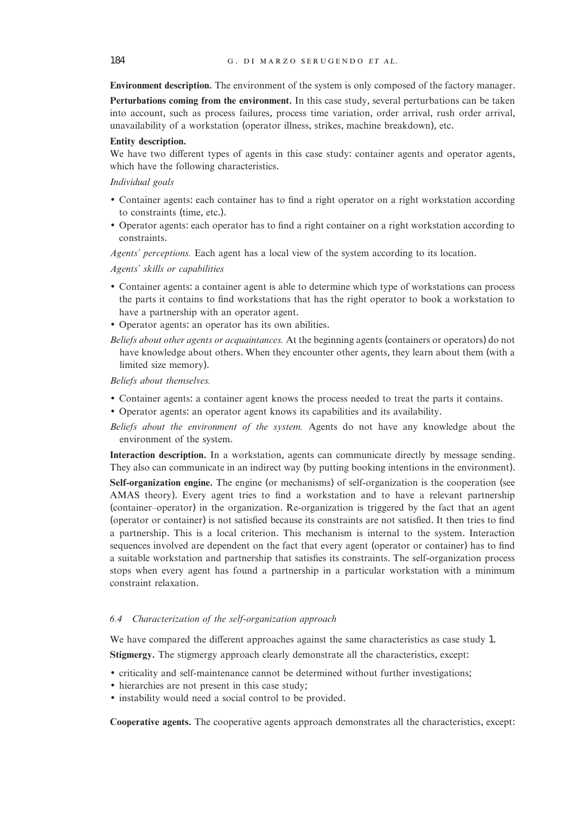**Environment description.** The environment of the system is only composed of the factory manager.

**Perturbations coming from the environment.** In this case study, several perturbations can be taken into account, such as process failures, process time variation, order arrival, rush order arrival, unavailability of a workstation (operator illness, strikes, machine breakdown), etc.

### **Entity description.**

We have two different types of agents in this case study: container agents and operator agents, which have the following characteristics.

### *Individual goals*

- Container agents: each container has to find a right operator on a right workstation according to constraints (time, etc.).
- Operator agents: each operator has to find a right container on a right workstation according to constraints.

*Agents' perceptions.* Each agent has a local view of the system according to its location.

*Agents' skills or capabilities*

- Container agents: a container agent is able to determine which type of workstations can process the parts it contains to find workstations that has the right operator to book a workstation to have a partnership with an operator agent.
- Operator agents: an operator has its own abilities.
- *Beliefs about other agents or acquaintances.* At the beginning agents (containers or operators) do not have knowledge about others. When they encounter other agents, they learn about them (with a limited size memory).

*Beliefs about themselves.*

- Container agents: a container agent knows the process needed to treat the parts it contains.
- Operator agents: an operator agent knows its capabilities and its availability.
- *Beliefs about the environment of the system.* Agents do not have any knowledge about the environment of the system.

**Interaction description.** In a workstation, agents can communicate directly by message sending. They also can communicate in an indirect way (by putting booking intentions in the environment).

**Self-organization engine.** The engine (or mechanisms) of self-organization is the cooperation (see AMAS theory). Every agent tries to find a workstation and to have a relevant partnership (container–operator) in the organization. Re-organization is triggered by the fact that an agent (operator or container) is not satisfied because its constraints are not satisfied. It then tries to find a partnership. This is a local criterion. This mechanism is internal to the system. Interaction sequences involved are dependent on the fact that every agent (operator or container) has to find a suitable workstation and partnership that satisfies its constraints. The self-organization process stops when every agent has found a partnership in a particular workstation with a minimum constraint relaxation.

# *6.4 Characterization of the self-organization approach*

We have compared the different approaches against the same characteristics as case study 1.

**Stigmergy.** The stigmergy approach clearly demonstrate all the characteristics, except:

- criticality and self-maintenance cannot be determined without further investigations;
- hierarchies are not present in this case study;
- instability would need a social control to be provided.

**Cooperative agents.** The cooperative agents approach demonstrates all the characteristics, except: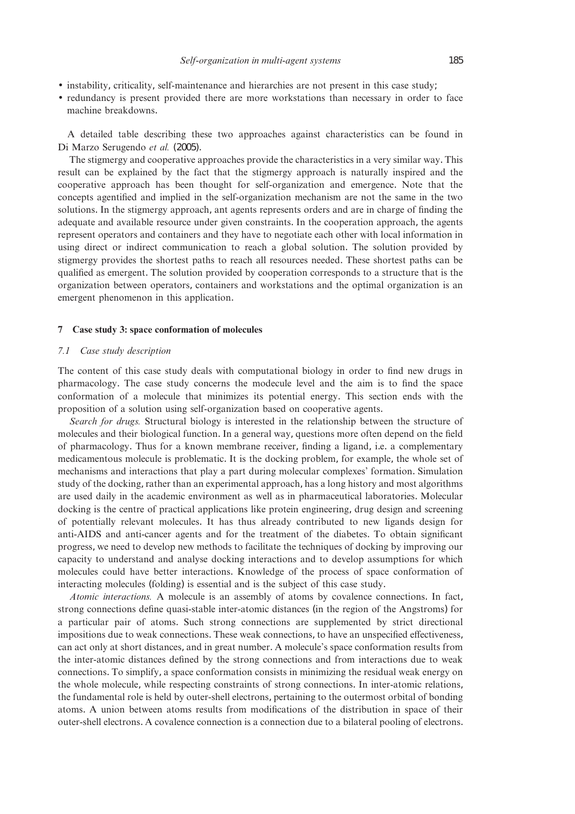- instability, criticality, self-maintenance and hierarchies are not present in this case study;
- redundancy is present provided there are more workstations than necessary in order to face machine breakdowns.

A detailed table describing these two approaches against characteristics can be found in Di Marzo Serugendo *et al.* (2005).

The stigmergy and cooperative approaches provide the characteristics in a very similar way. This result can be explained by the fact that the stigmergy approach is naturally inspired and the cooperative approach has been thought for self-organization and emergence. Note that the concepts agentified and implied in the self-organization mechanism are not the same in the two solutions. In the stigmergy approach, ant agents represents orders and are in charge of finding the adequate and available resource under given constraints. In the cooperation approach, the agents represent operators and containers and they have to negotiate each other with local information in using direct or indirect communication to reach a global solution. The solution provided by stigmergy provides the shortest paths to reach all resources needed. These shortest paths can be qualified as emergent. The solution provided by cooperation corresponds to a structure that is the organization between operators, containers and workstations and the optimal organization is an emergent phenomenon in this application.

### **7 Case study 3: space conformation of molecules**

### *7.1 Case study description*

The content of this case study deals with computational biology in order to find new drugs in pharmacology. The case study concerns the modecule level and the aim is to find the space conformation of a molecule that minimizes its potential energy. This section ends with the proposition of a solution using self-organization based on cooperative agents.

*Search for drugs.* Structural biology is interested in the relationship between the structure of molecules and their biological function. In a general way, questions more often depend on the field of pharmacology. Thus for a known membrane receiver, finding a ligand, i.e. a complementary medicamentous molecule is problematic. It is the docking problem, for example, the whole set of mechanisms and interactions that play a part during molecular complexes' formation. Simulation study of the docking, rather than an experimental approach, has a long history and most algorithms are used daily in the academic environment as well as in pharmaceutical laboratories. Molecular docking is the centre of practical applications like protein engineering, drug design and screening of potentially relevant molecules. It has thus already contributed to new ligands design for anti-AIDS and anti-cancer agents and for the treatment of the diabetes. To obtain significant progress, we need to develop new methods to facilitate the techniques of docking by improving our capacity to understand and analyse docking interactions and to develop assumptions for which molecules could have better interactions. Knowledge of the process of space conformation of interacting molecules (folding) is essential and is the subject of this case study.

*Atomic interactions.* A molecule is an assembly of atoms by covalence connections. In fact, strong connections define quasi-stable inter-atomic distances (in the region of the Angstroms) for a particular pair of atoms. Such strong connections are supplemented by strict directional impositions due to weak connections. These weak connections, to have an unspecified effectiveness, can act only at short distances, and in great number. A molecule's space conformation results from the inter-atomic distances defined by the strong connections and from interactions due to weak connections. To simplify, a space conformation consists in minimizing the residual weak energy on the whole molecule, while respecting constraints of strong connections. In inter-atomic relations, the fundamental role is held by outer-shell electrons, pertaining to the outermost orbital of bonding atoms. A union between atoms results from modifications of the distribution in space of their outer-shell electrons. A covalence connection is a connection due to a bilateral pooling of electrons.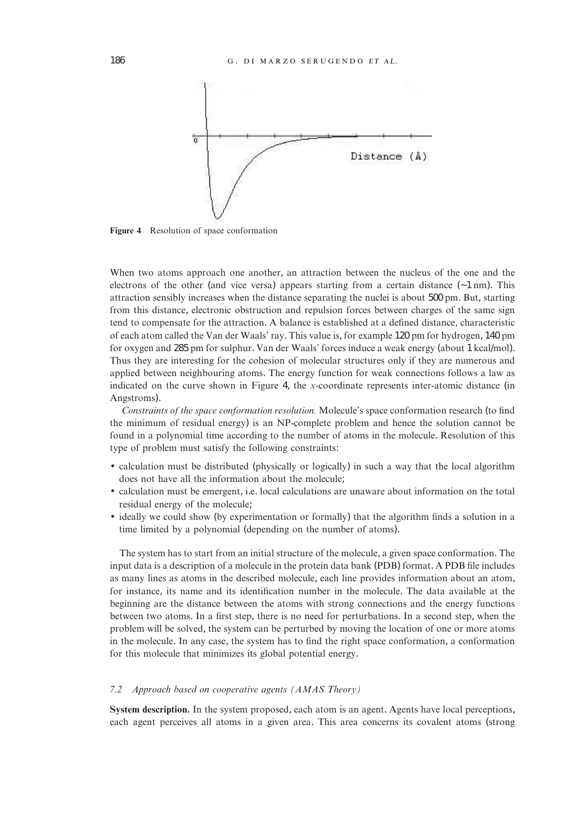![](_page_21_Figure_1.jpeg)

**Figure 4** Resolution of space conformation

When two atoms approach one another, an attraction between the nucleus of the one and the electrons of the other (and vice versa) appears starting from a certain distance (∼1 nm). This attraction sensibly increases when the distance separating the nuclei is about 500 pm. But, starting from this distance, electronic obstruction and repulsion forces between charges of the same sign tend to compensate for the attraction. A balance is established at a defined distance, characteristic of each atom called the Van der Waals' ray. This value is, for example 120 pm for hydrogen, 140 pm for oxygen and 285 pm for sulphur. Van der Waals' forces induce a weak energy (about 1 kcal/mol). Thus they are interesting for the cohesion of molecular structures only if they are numerous and applied between neighbouring atoms. The energy function for weak connections follows a law as indicated on the curve shown in Figure 4, the *x*-coordinate represents inter-atomic distance (in Angstroms).

*Constraints of the space conformation resolution.* Molecule's space conformation research (to find the minimum of residual energy) is an NP-complete problem and hence the solution cannot be found in a polynomial time according to the number of atoms in the molecule. Resolution of this type of problem must satisfy the following constraints:

- calculation must be distributed (physically or logically) in such a way that the local algorithm does not have all the information about the molecule;
- calculation must be emergent, i.e. local calculations are unaware about information on the total residual energy of the molecule;
- ideally we could show (by experimentation or formally) that the algorithm finds a solution in a time limited by a polynomial (depending on the number of atoms).

The system has to start from an initial structure of the molecule, a given space conformation. The input data is a description of a molecule in the protein data bank (PDB) format. A PDB file includes as many lines as atoms in the described molecule, each line provides information about an atom, for instance, its name and its identification number in the molecule. The data available at the beginning are the distance between the atoms with strong connections and the energy functions between two atoms. In a first step, there is no need for perturbations. In a second step, when the problem will be solved, the system can be perturbed by moving the location of one or more atoms in the molecule. In any case, the system has to find the right space conformation, a conformation for this molecule that minimizes its global potential energy.

### *7.2 Approach based on cooperative agents (AMAS Theory)*

**System description.** In the system proposed, each atom is an agent. Agents have local perceptions, each agent perceives all atoms in a given area. This area concerns its covalent atoms (strong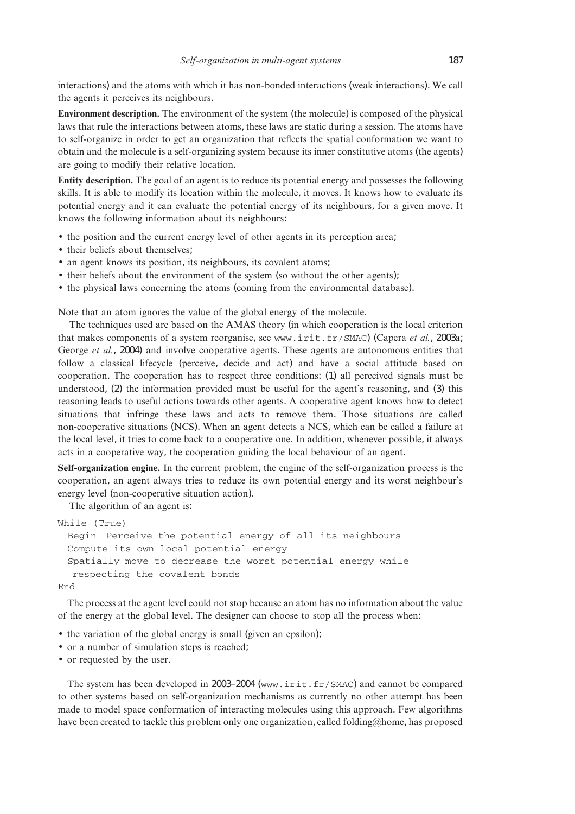interactions) and the atoms with which it has non-bonded interactions (weak interactions). We call the agents it perceives its neighbours.

**Environment description.** The environment of the system (the molecule) is composed of the physical laws that rule the interactions between atoms, these laws are static during a session. The atoms have to self-organize in order to get an organization that reflects the spatial conformation we want to obtain and the molecule is a self-organizing system because its inner constitutive atoms (the agents) are going to modify their relative location.

**Entity description.** The goal of an agent is to reduce its potential energy and possesses the following skills. It is able to modify its location within the molecule, it moves. It knows how to evaluate its potential energy and it can evaluate the potential energy of its neighbours, for a given move. It knows the following information about its neighbours:

- the position and the current energy level of other agents in its perception area;
- their beliefs about themselves;
- an agent knows its position, its neighbours, its covalent atoms;
- their beliefs about the environment of the system (so without the other agents);
- the physical laws concerning the atoms (coming from the environmental database).

Note that an atom ignores the value of the global energy of the molecule.

The techniques used are based on the AMAS theory (in which cooperation is the local criterion that makes components of a system reorganise, see www.irit.fr/SMAC) (Capera *et al.*, 2003a; George *et al.*, 2004) and involve cooperative agents. These agents are autonomous entities that follow a classical lifecycle (perceive, decide and act) and have a social attitude based on cooperation. The cooperation has to respect three conditions: (1) all perceived signals must be understood, (2) the information provided must be useful for the agent's reasoning, and (3) this reasoning leads to useful actions towards other agents. A cooperative agent knows how to detect situations that infringe these laws and acts to remove them. Those situations are called non-cooperative situations (NCS). When an agent detects a NCS, which can be called a failure at the local level, it tries to come back to a cooperative one. In addition, whenever possible, it always acts in a cooperative way, the cooperation guiding the local behaviour of an agent.

**Self-organization engine.** In the current problem, the engine of the self-organization process is the cooperation, an agent always tries to reduce its own potential energy and its worst neighbour's energy level (non-cooperative situation action).

The algorithm of an agent is:

```
While (True)
 Begin Perceive the potential energy of all its neighbours
 Compute its own local potential energy
 Spatially move to decrease the worst potential energy while
  respecting the covalent bonds
End
```
The process at the agent level could not stop because an atom has no information about the value of the energy at the global level. The designer can choose to stop all the process when:

- the variation of the global energy is small (given an epsilon);
- or a number of simulation steps is reached;
- or requested by the user.

The system has been developed in 2003–2004 (www.irit.fr/SMAC) and cannot be compared to other systems based on self-organization mechanisms as currently no other attempt has been made to model space conformation of interacting molecules using this approach. Few algorithms have been created to tackle this problem only one organization, called folding@home, has proposed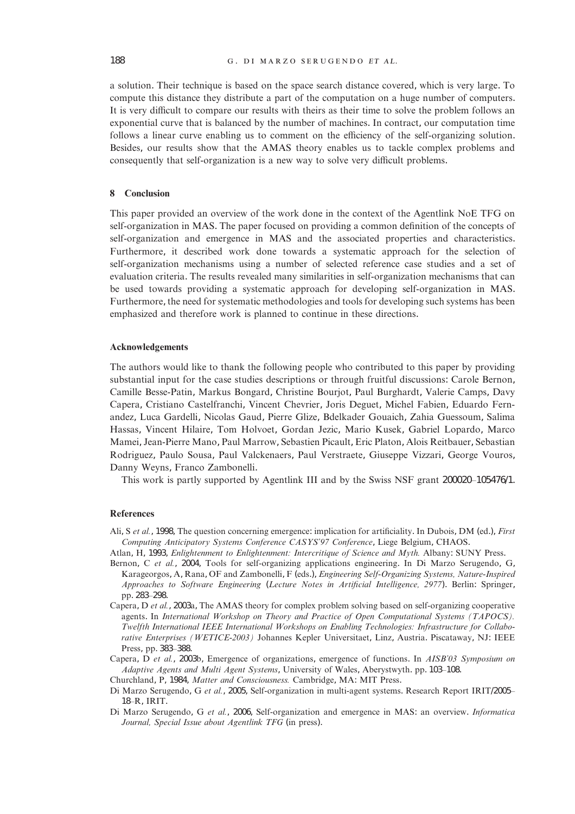a solution. Their technique is based on the space search distance covered, which is very large. To compute this distance they distribute a part of the computation on a huge number of computers. It is very difficult to compare our results with theirs as their time to solve the problem follows an exponential curve that is balanced by the number of machines. In contract, our computation time follows a linear curve enabling us to comment on the efficiency of the self-organizing solution. Besides, our results show that the AMAS theory enables us to tackle complex problems and consequently that self-organization is a new way to solve very difficult problems.

#### **8 Conclusion**

This paper provided an overview of the work done in the context of the Agentlink NoE TFG on self-organization in MAS. The paper focused on providing a common definition of the concepts of self-organization and emergence in MAS and the associated properties and characteristics. Furthermore, it described work done towards a systematic approach for the selection of self-organization mechanisms using a number of selected reference case studies and a set of evaluation criteria. The results revealed many similarities in self-organization mechanisms that can be used towards providing a systematic approach for developing self-organization in MAS. Furthermore, the need for systematic methodologies and tools for developing such systems has been emphasized and therefore work is planned to continue in these directions.

#### **Acknowledgements**

The authors would like to thank the following people who contributed to this paper by providing substantial input for the case studies descriptions or through fruitful discussions: Carole Bernon, Camille Besse-Patin, Markus Bongard, Christine Bourjot, Paul Burghardt, Valerie Camps, Davy Capera, Cristiano Castelfranchi, Vincent Chevrier, Joris Deguet, Michel Fabien, Eduardo Fernandez, Luca Gardelli, Nicolas Gaud, Pierre Glize, Bdelkader Gouaich, Zahia Guessoum, Salima Hassas, Vincent Hilaire, Tom Holvoet, Gordan Jezic, Mario Kusek, Gabriel Lopardo, Marco Mamei, Jean-Pierre Mano, Paul Marrow, Sebastien Picault, Eric Platon, Alois Reitbauer, Sebastian Rodriguez, Paulo Sousa, Paul Valckenaers, Paul Verstraete, Giuseppe Vizzari, George Vouros, Danny Weyns, Franco Zambonelli.

This work is partly supported by Agentlink III and by the Swiss NSF grant 200020–105476/1.

# **References**

- Ali, S *et al.*, 1998, The question concerning emergence: implication for artificiality. In Dubois, DM (ed.), *First Computing Anticipatory Systems Conference CASYS'97 Conference*, Liege Belgium, CHAOS.
- Atlan, H, 1993, *Enlightenment to Enlightenment: Intercritique of Science and Myth.* Albany: SUNY Press.
- Bernon, C *et al.*, 2004, Tools for self-organizing applications engineering. In Di Marzo Serugendo, G, Karageorgos, A, Rana, OF and Zambonelli, F (eds.), *Engineering Self-Organizing Systems, Nature-Inspired Approaches to Software Engineering* (*Lecture Notes in Artificial Intelligence, 2977*). Berlin: Springer, pp. 283–298.
- Capera, D *et al.*, 2003a, The AMAS theory for complex problem solving based on self-organizing cooperative agents. In *International Workshop on Theory and Practice of Open Computational Systems (TAPOCS). Twelfth International IEEE International Workshops on Enabling Technologies: Infrastructure for Collaborative Enterprises (WETICE-2003)* Johannes Kepler Universitaet, Linz, Austria. Piscataway, NJ: IEEE Press, pp. 383–388.
- Capera, D *et al.*, 2003b, Emergence of organizations, emergence of functions. In *AISB'03 Symposium on Adaptive Agents and Multi Agent Systems*, University of Wales, Aberystwyth. pp. 103–108.
- Churchland, P, 1984, *Matter and Consciousness.* Cambridge, MA: MIT Press.
- Di Marzo Serugendo, G *et al.*, 2005, Self-organization in multi-agent systems. Research Report IRIT/2005– 18–R, IRIT.
- Di Marzo Serugendo, G *et al.*, 2006, Self-organization and emergence in MAS: an overview. *Informatica Journal, Special Issue about Agentlink TFG* (in press).